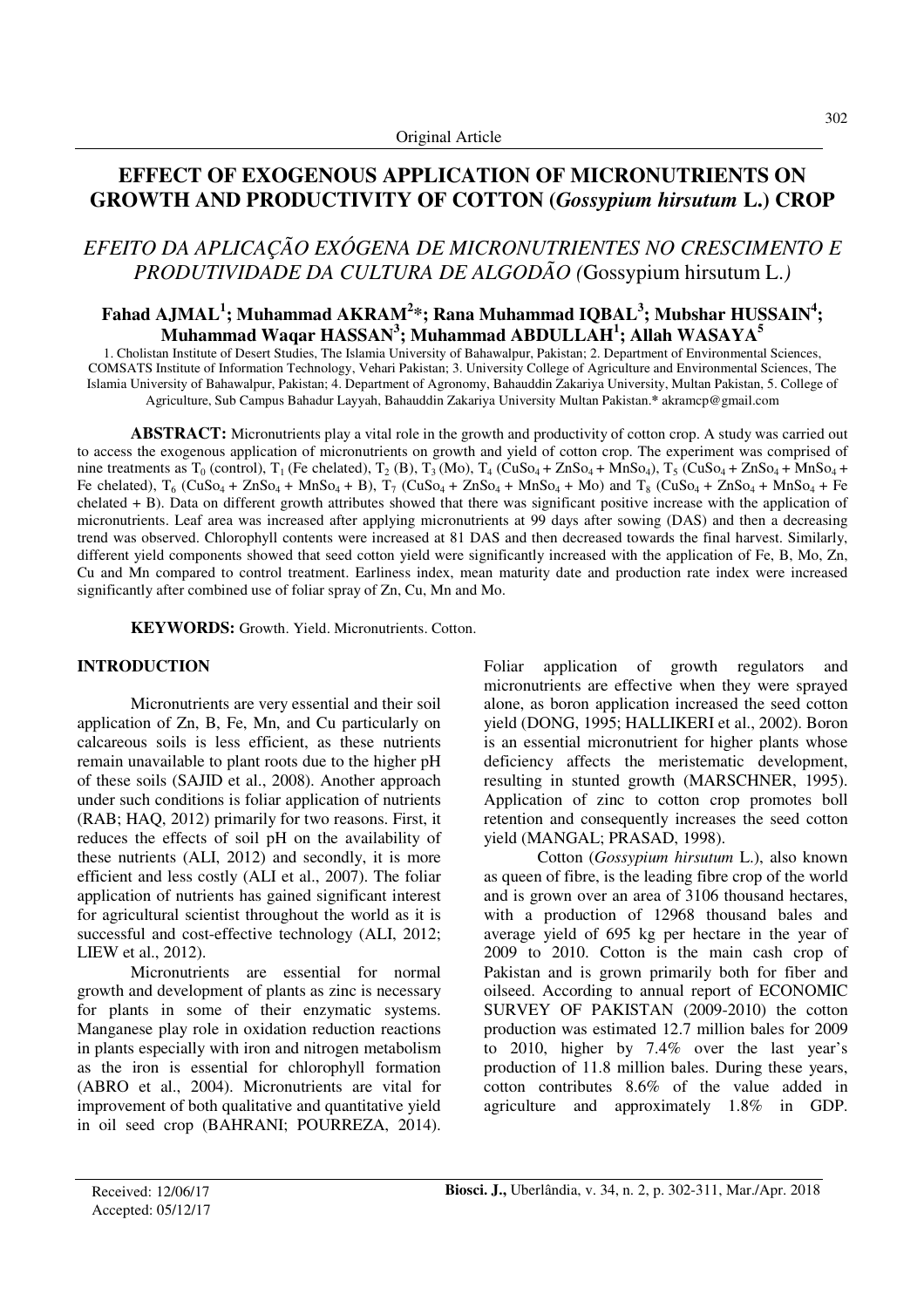## **EFFECT OF EXOGENOUS APPLICATION OF MICRONUTRIENTS ON GROWTH AND PRODUCTIVITY OF COTTON (***Gossypium hirsutum* **L.) CROP**

# *EFEITO DA APLICAÇÃO EXÓGENA DE MICRONUTRIENTES NO CRESCIMENTO E PRODUTIVIDADE DA CULTURA DE ALGODÃO (*Gossypium hirsutum L.*)*

## **Fahad AJMAL<sup>1</sup> ; Muhammad AKRAM<sup>2</sup> \*; Rana Muhammad IQBAL<sup>3</sup> ; Mubshar HUSSAIN<sup>4</sup> ; Muhammad Waqar HASSAN<sup>3</sup> ; Muhammad ABDULLAH<sup>1</sup> ; Allah WASAYA<sup>5</sup>**

1. Cholistan Institute of Desert Studies, The Islamia University of Bahawalpur, Pakistan; 2. Department of Environmental Sciences, COMSATS Institute of Information Technology, Vehari Pakistan; 3. University College of Agriculture and Environmental Sciences, The Islamia University of Bahawalpur, Pakistan; 4. Department of Agronomy, Bahauddin Zakariya University, Multan Pakistan, 5. College of Agriculture, Sub Campus Bahadur Layyah, Bahauddin Zakariya University Multan Pakistan.**\*** akramcp@gmail.com

**ABSTRACT:** Micronutrients play a vital role in the growth and productivity of cotton crop. A study was carried out to access the exogenous application of micronutrients on growth and yield of cotton crop. The experiment was comprised of nine treatments as  $T_0$  (control),  $T_1$  (Fe chelated),  $T_2$  (B),  $T_3$  (Mo),  $T_4$  (CuSo<sub>4</sub> + ZnSo<sub>4</sub> + MnSo<sub>4</sub>),  $T_5$  (CuSo<sub>4</sub> + ZnSo<sub>4</sub> + MnSo<sub>4</sub> + Fe chelated),  $T_6$  (CuSo<sub>4</sub> + ZnSo<sub>4</sub> + MnSo<sub>4</sub> + B),  $T_7$  (CuSo<sub>4</sub> + ZnSo<sub>4</sub> + MnSo<sub>4</sub> + Mo) and  $T_8$  (CuSo<sub>4</sub> + ZnSo<sub>4</sub> + MnSo<sub>4</sub> + Fe chelated + B). Data on different growth attributes showed that there was significant positive increase with the application of micronutrients. Leaf area was increased after applying micronutrients at 99 days after sowing (DAS) and then a decreasing trend was observed. Chlorophyll contents were increased at 81 DAS and then decreased towards the final harvest. Similarly, different yield components showed that seed cotton yield were significantly increased with the application of Fe, B, Mo, Zn, Cu and Mn compared to control treatment. Earliness index, mean maturity date and production rate index were increased significantly after combined use of foliar spray of Zn, Cu, Mn and Mo.

**KEYWORDS:** Growth. Yield. Micronutrients. Cotton.

#### **INTRODUCTION**

Micronutrients are very essential and their soil application of Zn, B, Fe, Mn, and Cu particularly on calcareous soils is less efficient, as these nutrients remain unavailable to plant roots due to the higher pH of these soils (SAJID et al., 2008). Another approach under such conditions is foliar application of nutrients (RAB; HAQ, 2012) primarily for two reasons. First, it reduces the effects of soil pH on the availability of these nutrients (ALI, 2012) and secondly, it is more efficient and less costly (ALI et al., 2007). The foliar application of nutrients has gained significant interest for agricultural scientist throughout the world as it is successful and cost-effective technology (ALI, 2012; LIEW et al., 2012).

Micronutrients are essential for normal growth and development of plants as zinc is necessary for plants in some of their enzymatic systems. Manganese play role in oxidation reduction reactions in plants especially with iron and nitrogen metabolism as the iron is essential for chlorophyll formation (ABRO et al., 2004). Micronutrients are vital for improvement of both qualitative and quantitative yield in oil seed crop (BAHRANI; POURREZA, 2014). Foliar application of growth regulators and micronutrients are effective when they were sprayed alone, as boron application increased the seed cotton yield (DONG, 1995; HALLIKERI et al., 2002). Boron is an essential micronutrient for higher plants whose deficiency affects the meristematic development, resulting in stunted growth (MARSCHNER, 1995). Application of zinc to cotton crop promotes boll retention and consequently increases the seed cotton yield (MANGAL; PRASAD, 1998).

Cotton (*Gossypium hirsutum* L.), also known as queen of fibre, is the leading fibre crop of the world and is grown over an area of 3106 thousand hectares, with a production of 12968 thousand bales and average yield of 695 kg per hectare in the year of 2009 to 2010. Cotton is the main cash crop of Pakistan and is grown primarily both for fiber and oilseed. According to annual report of ECONOMIC SURVEY OF PAKISTAN (2009-2010) the cotton production was estimated 12.7 million bales for 2009 to 2010, higher by 7.4% over the last year's production of 11.8 million bales. During these years, cotton contributes 8.6% of the value added in agriculture and approximately 1.8% in GDP.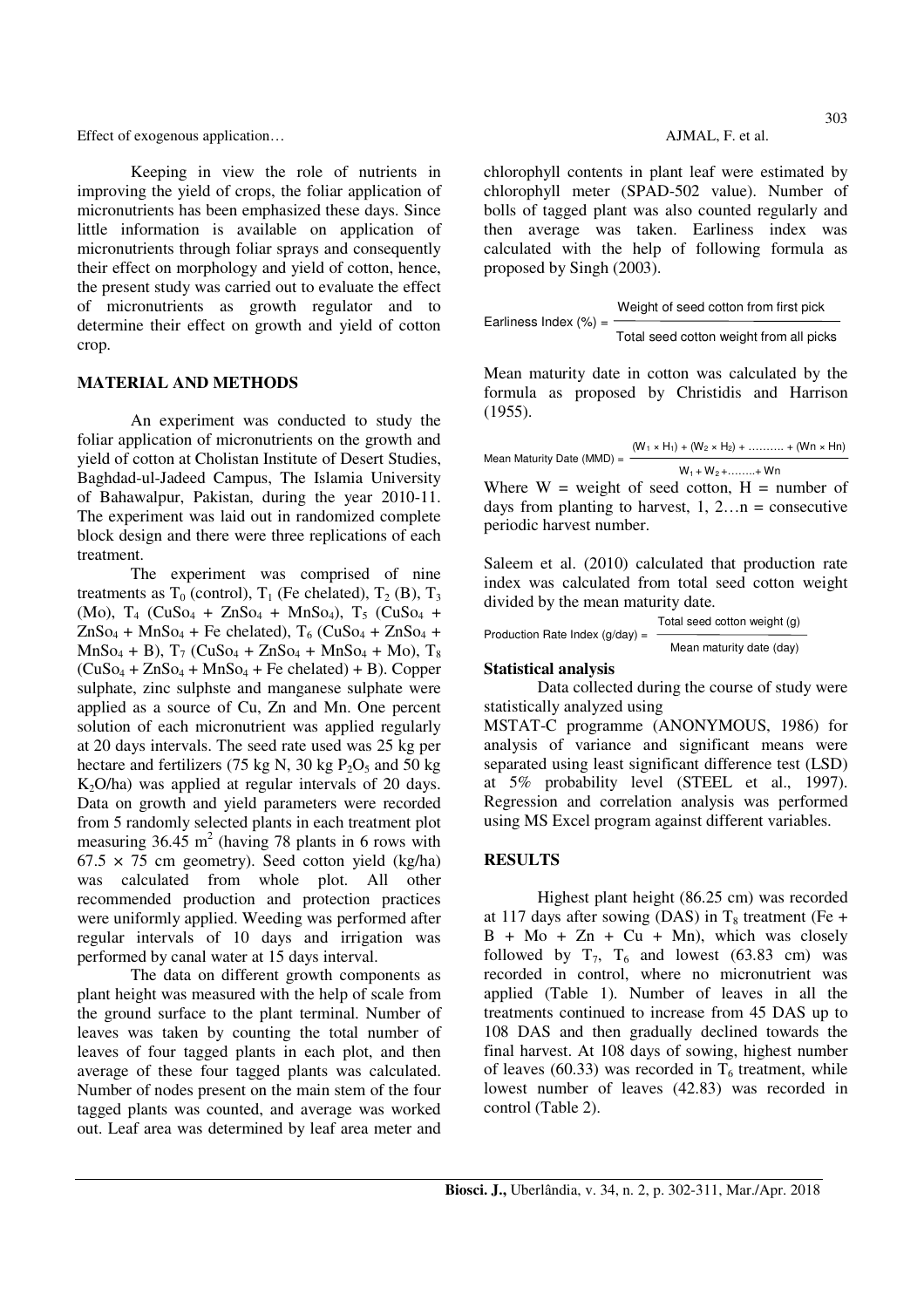Keeping in view the role of nutrients in improving the yield of crops, the foliar application of micronutrients has been emphasized these days. Since little information is available on application of micronutrients through foliar sprays and consequently their effect on morphology and yield of cotton, hence, the present study was carried out to evaluate the effect of micronutrients as growth regulator and to determine their effect on growth and yield of cotton crop.

#### **MATERIAL AND METHODS**

An experiment was conducted to study the foliar application of micronutrients on the growth and yield of cotton at Cholistan Institute of Desert Studies, Baghdad-ul-Jadeed Campus, The Islamia University of Bahawalpur, Pakistan, during the year 2010-11. The experiment was laid out in randomized complete block design and there were three replications of each treatment.

The experiment was comprised of nine treatments as  $T_0$  (control),  $T_1$  (Fe chelated),  $T_2$  (B),  $T_3$ (Mo),  $T_4$  (CuSo<sub>4</sub> + ZnSo<sub>4</sub> + MnSo<sub>4</sub>),  $T_5$  (CuSo<sub>4</sub> +  $\text{ZnSo}_4 + \text{MnSo}_4 + \text{Fe chelated}$ ,  $T_6$  (CuSo<sub>4</sub> + ZnSo<sub>4</sub> +  $MnSo_4 + B$ ),  $T_7$  (CuSo<sub>4</sub> + ZnSo<sub>4</sub> + MnSo<sub>4</sub> + Mo),  $T_8$  $(CuSo<sub>4</sub> + ZnSo<sub>4</sub> + MnSo<sub>4</sub> + Fe chelated) + B$ ). Copper sulphate, zinc sulphste and manganese sulphate were applied as a source of Cu, Zn and Mn. One percent solution of each micronutrient was applied regularly at 20 days intervals. The seed rate used was 25 kg per hectare and fertilizers (75 kg N, 30 kg  $P_2O_5$  and 50 kg  $K<sub>2</sub>O/ha$  was applied at regular intervals of 20 days. Data on growth and yield parameters were recorded from 5 randomly selected plants in each treatment plot measuring  $36.45 \text{ m}^2$  (having 78 plants in 6 rows with  $67.5 \times 75$  cm geometry). Seed cotton yield (kg/ha) was calculated from whole plot. All other recommended production and protection practices were uniformly applied. Weeding was performed after regular intervals of 10 days and irrigation was performed by canal water at 15 days interval.

The data on different growth components as plant height was measured with the help of scale from the ground surface to the plant terminal. Number of leaves was taken by counting the total number of leaves of four tagged plants in each plot, and then average of these four tagged plants was calculated. Number of nodes present on the main stem of the four tagged plants was counted, and average was worked out. Leaf area was determined by leaf area meter and

chlorophyll contents in plant leaf were estimated by chlorophyll meter (SPAD-502 value). Number of bolls of tagged plant was also counted regularly and then average was taken. Earliness index was calculated with the help of following formula as proposed by Singh (2003).

Weight of seed cotton from first pick

\nEarlines Index (
$$
\%
$$
) =

\nTotal seed cotton weight from all picks

Mean maturity date in cotton was calculated by the formula as proposed by Christidis and Harrison (1955).

| Mean Maturity Date (MMD) = | $(W_1 \times H_1) + (W_2 \times H_2) + \dots + (W_n \times H_n)$ |
|----------------------------|------------------------------------------------------------------|
|                            | $W_1 + W_2 + \ldots + W_n$                                       |
|                            | Where $W = weight$ of seed cotton, $H = number$ of               |
|                            | days from planting to harvest, $1, 2n$ = consecutive             |
| periodic harvest number.   |                                                                  |

Saleem et al. (2010) calculated that production rate index was calculated from total seed cotton weight divided by the mean maturity date.

| Production Rate Index $(q/day) =$ | Total seed cotton weight (g) |  |  |
|-----------------------------------|------------------------------|--|--|
|                                   | Mean maturity date (day)     |  |  |

#### **Statistical analysis**

Data collected during the course of study were statistically analyzed using

MSTAT-C programme (ANONYMOUS, 1986) for analysis of variance and significant means were separated using least significant difference test (LSD) at 5% probability level (STEEL et al., 1997). Regression and correlation analysis was performed using MS Excel program against different variables.

## **RESULTS**

Highest plant height (86.25 cm) was recorded at 117 days after sowing (DAS) in  $T_8$  treatment (Fe +  $B + Mo + Zn + Cu + Mn)$ , which was closely followed by  $T_7$ ,  $T_6$  and lowest (63.83 cm) was recorded in control, where no micronutrient was applied (Table 1). Number of leaves in all the treatments continued to increase from 45 DAS up to 108 DAS and then gradually declined towards the final harvest. At 108 days of sowing, highest number of leaves (60.33) was recorded in  $T_6$  treatment, while lowest number of leaves (42.83) was recorded in control (Table 2).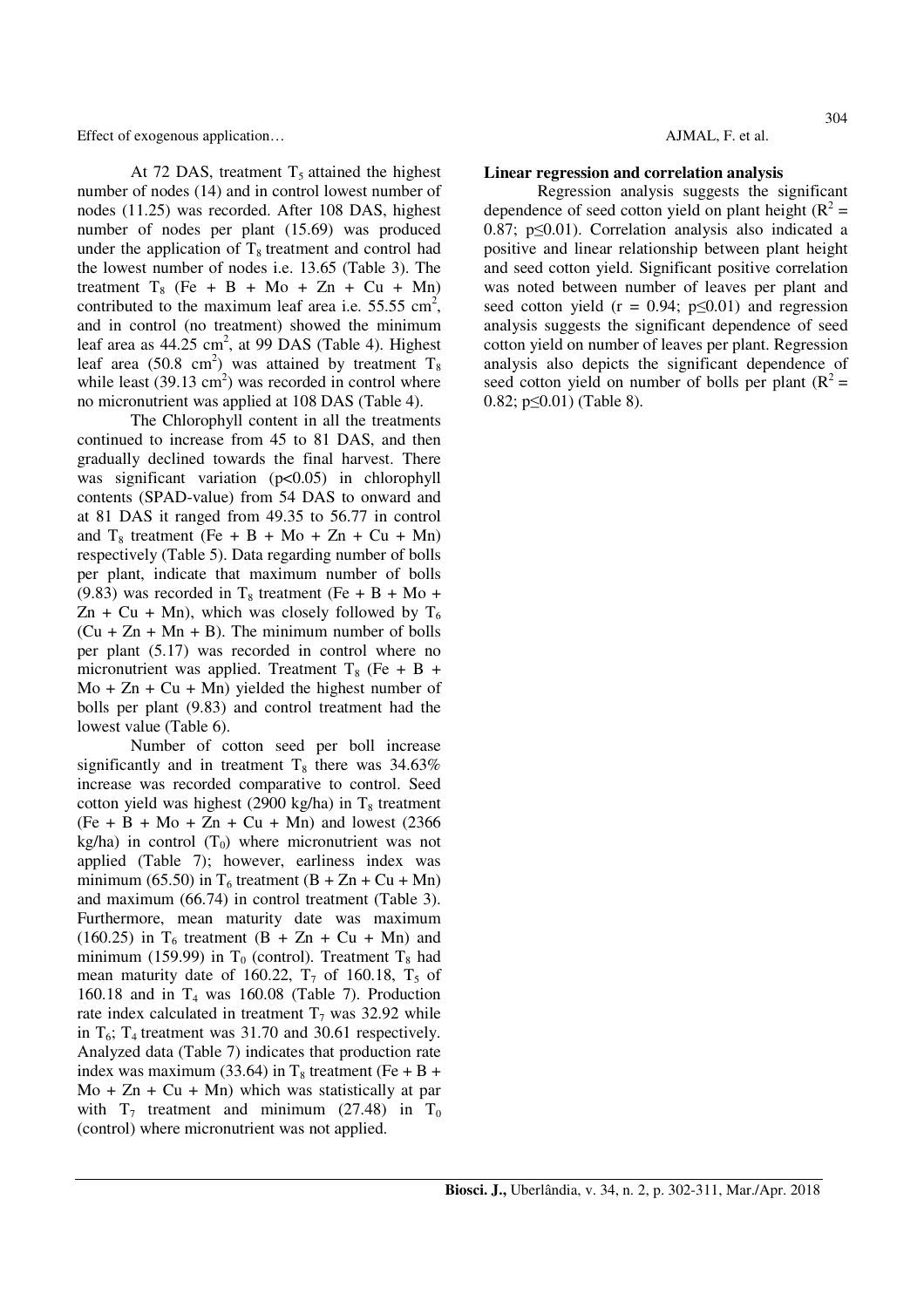At 72 DAS, treatment  $T_5$  attained the highest number of nodes (14) and in control lowest number of nodes (11.25) was recorded. After 108 DAS, highest number of nodes per plant (15.69) was produced under the application of  $T_8$  treatment and control had the lowest number of nodes i.e. 13.65 (Table 3). The treatment  $T_8$  (Fe + B + Mo + Zn + Cu + Mn) contributed to the maximum leaf area i.e.  $55.55 \text{ cm}^2$ , and in control (no treatment) showed the minimum leaf area as  $44.25 \text{ cm}^2$ , at 99 DAS (Table 4). Highest leaf area (50.8 cm<sup>2</sup>) was attained by treatment  $T_8$ while least  $(39.13 \text{ cm}^2)$  was recorded in control where no micronutrient was applied at 108 DAS (Table 4).

The Chlorophyll content in all the treatments continued to increase from 45 to 81 DAS, and then gradually declined towards the final harvest. There was significant variation (p<0.05) in chlorophyll contents (SPAD-value) from 54 DAS to onward and at 81 DAS it ranged from 49.35 to 56.77 in control and  $T_8$  treatment (Fe + B + Mo + Zn + Cu + Mn) respectively (Table 5). Data regarding number of bolls per plant, indicate that maximum number of bolls (9.83) was recorded in  $T_8$  treatment (Fe + B + Mo +  $Zn + Cu + Mn$ , which was closely followed by  $T_6$  $(Cu + Zn + Mn + B)$ . The minimum number of bolls per plant (5.17) was recorded in control where no micronutrient was applied. Treatment  $T_8$  (Fe + B +  $Mo + Zn + Cu + Mn)$  yielded the highest number of bolls per plant (9.83) and control treatment had the lowest value (Table 6).

Number of cotton seed per boll increase significantly and in treatment  $T_8$  there was 34.63% increase was recorded comparative to control. Seed cotton yield was highest (2900 kg/ha) in  $T_8$  treatment  $(Fe + B + Mo + Zn + Cu + Mn)$  and lowest (2366) kg/ha) in control  $(T_0)$  where micronutrient was not applied (Table 7); however, earliness index was minimum (65.50) in  $T_6$  treatment (B + Zn + Cu + Mn) and maximum (66.74) in control treatment (Table 3). Furthermore, mean maturity date was maximum (160.25) in  $T_6$  treatment (B + Zn + Cu + Mn) and minimum (159.99) in  $T_0$  (control). Treatment  $T_8$  had mean maturity date of 160.22,  $T_7$  of 160.18,  $T_5$  of 160.18 and in  $T_4$  was 160.08 (Table 7). Production rate index calculated in treatment  $T_7$  was 32.92 while in  $T_6$ ;  $T_4$  treatment was 31.70 and 30.61 respectively. Analyzed data (Table 7) indicates that production rate index was maximum (33.64) in  $T_8$  treatment (Fe + B +  $Mo + Zn + Cu + Mn)$  which was statistically at par with  $T_7$  treatment and minimum (27.48) in  $T_0$ (control) where micronutrient was not applied.

#### **Linear regression and correlation analysis**

Regression analysis suggests the significant dependence of seed cotton yield on plant height ( $R^2$  = 0.87; p≤0.01). Correlation analysis also indicated a positive and linear relationship between plant height and seed cotton yield. Significant positive correlation was noted between number of leaves per plant and seed cotton yield ( $r = 0.94$ ;  $p \le 0.01$ ) and regression analysis suggests the significant dependence of seed cotton yield on number of leaves per plant. Regression analysis also depicts the significant dependence of seed cotton yield on number of bolls per plant  $(R^2 =$ 0.82;  $p \le 0.01$ ) (Table 8).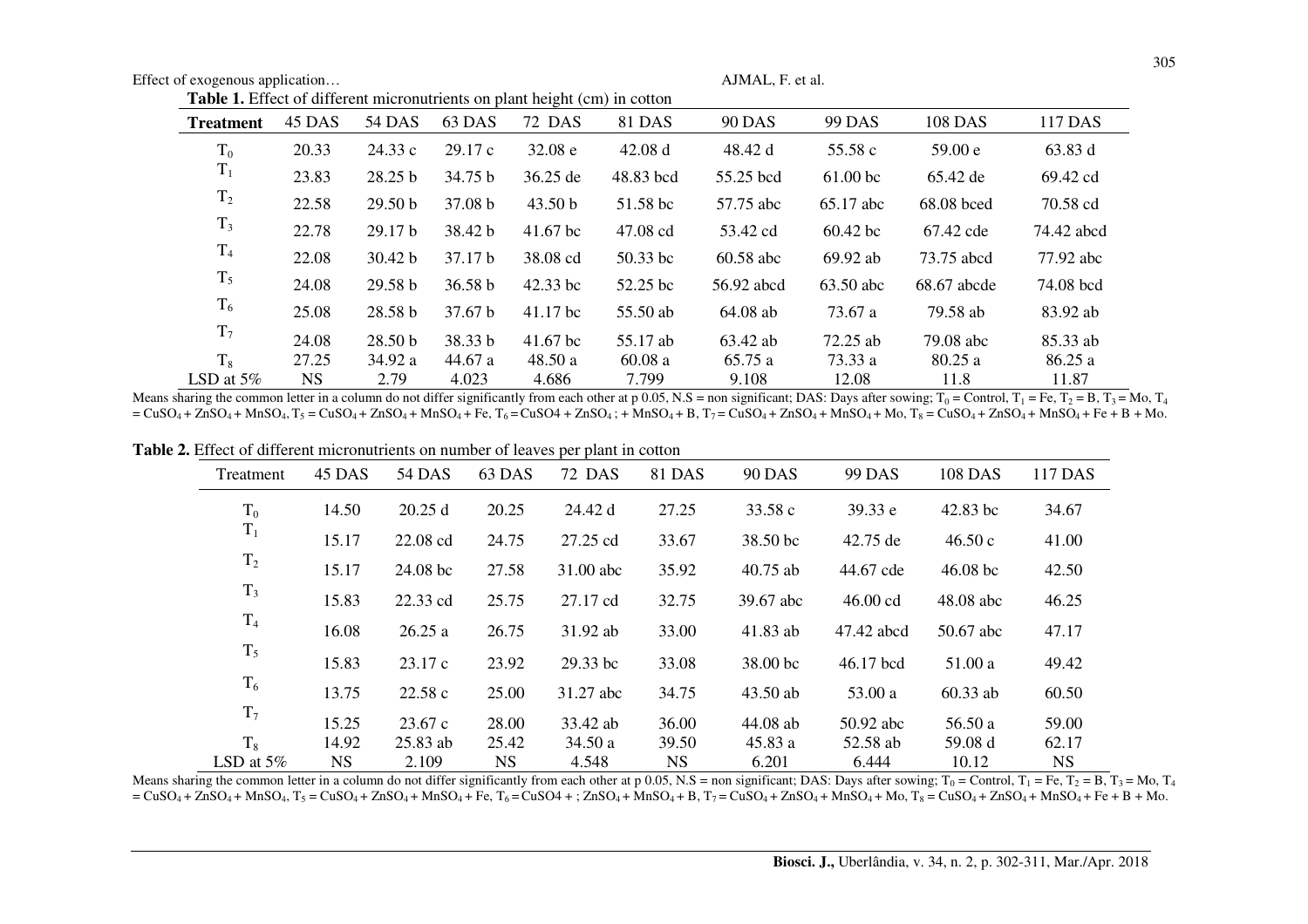| <b>Table 1.</b> Effect of different micronutrients on plant height (cm) in cotton |        |                    |                    |            |            |               |                     |             |            |
|-----------------------------------------------------------------------------------|--------|--------------------|--------------------|------------|------------|---------------|---------------------|-------------|------------|
| <b>Treatment</b>                                                                  | 45 DAS | 54 DAS             | 63 DAS             | 72 DAS     | 81 DAS     | <b>90 DAS</b> | 99 DAS              | 108 DAS     | 117 DAS    |
| $T_0$                                                                             | 20.33  | 24.33 c            | 29.17c             | 32.08 e    | 42.08 d    | 48.42 d       | 55.58 c             | 59.00 e     | 63.83 d    |
| $T_1$                                                                             | 23.83  | 28.25 b            | 34.75 b            | 36.25 de   | 48.83 bcd  | 55.25 bcd     | 61.00 <sub>bc</sub> | 65.42 de    | 69.42 cd   |
| $T_2$                                                                             | 22.58  | 29.50 <sub>b</sub> | 37.08 b            | 43.50 b    | 51.58 bc   | 57.75 abc     | 65.17 abc           | 68.08 bced  | 70.58 cd   |
| $T_3$                                                                             | 22.78  | 29.17 <sub>b</sub> | 38.42 b            | $41.67$ bc | 47.08 cd   | 53.42 cd      | $60.42$ bc          | 67.42 cde   | 74.42 abcd |
| T <sub>4</sub>                                                                    | 22.08  | 30.42 b            | 37.17 b            | 38.08 cd   | $50.33$ bc | 60.58 abc     | 69.92 ab            | 73.75 abcd  | 77.92 abc  |
| $T_5$                                                                             | 24.08  | 29.58 b            | 36.58 b            | 42.33 bc   | 52.25 bc   | 56.92 abcd    | 63.50 abc           | 68.67 abcde | 74.08 bcd  |
| $T_6$                                                                             | 25.08  | 28.58 <sub>b</sub> | 37.67 <sub>b</sub> | 41.17 bc   | 55.50 ab   | 64.08 ab      | 73.67 a             | 79.58 ab    | 83.92 ab   |
| T <sub>7</sub>                                                                    | 24.08  | 28.50 <sub>b</sub> | 38.33 b            | $41.67$ bc | 55.17 ab   | 63.42 ab      | 72.25 ab            | 79.08 abc   | 85.33 ab   |
| $T_8$                                                                             | 27.25  | 34.92 a            | 44.67 a            | 48.50 a    | 60.08a     | 65.75 a       | 73.33 a             | 80.25a      | 86.25 a    |
| LSD at $5\%$                                                                      | NS.    | 2.79               | 4.023              | 4.686      | 7.799      | 9.108         | 12.08               | 11.8        | 11.87      |

LSD at 5% NS 2.79 4.023 4.686 7.799 9.108 12.08 11.8 11.8 11.87<br>Means sharing the common letter in a column do not differ significantly from each other at p 0.05, N.S = non significant; DAS: Days after sowing; T<sub>0</sub> = Cont  $= CuSO_4 + ZnSO_4 + MnSO_4$ ,  $T_5 = CuSO_4 + ZnSO_4 + MnSO_4 + Fe$ ,  $T_6 = CuSO_4 + ZnSO_4$ ;  $+ MnSO_4 + B$ ,  $T_7 = CuSO_4 + ZnSO_4 + MnSO_4 + Mo$ ,  $T_8 = CuSO_4 + ZnSO_4 + MnSO_4 + Fe + B + Mo$ .

| $\blacksquare$ . Entert of unfertial interfering on humor of feaves per plant in cotton |        |            |        |           |        |                     |            |            |         |
|-----------------------------------------------------------------------------------------|--------|------------|--------|-----------|--------|---------------------|------------|------------|---------|
| Treatment                                                                               | 45 DAS | 54 DAS     | 63 DAS | 72 DAS    | 81 DAS | <b>90 DAS</b>       | 99 DAS     | 108 DAS    | 117 DAS |
| $T_0$                                                                                   | 14.50  | 20.25 d    | 20.25  | 24.42 d   | 27.25  | 33.58 c             | 39.33 e    | $42.83$ bc | 34.67   |
| $\mathbf{T}_1$                                                                          | 15.17  | 22.08 cd   | 24.75  | 27.25 cd  | 33.67  | 38.50 bc            | 42.75 de   | 46.50c     | 41.00   |
| $T_2$                                                                                   | 15.17  | 24.08 bc   | 27.58  | 31.00 abc | 35.92  | $40.75$ ab          | 44.67 cde  | $46.08$ bc | 42.50   |
| $T_3$                                                                                   | 15.83  | 22.33 cd   | 25.75  | 27.17 cd  | 32.75  | 39.67 abc           | 46.00 cd   | 48.08 abc  | 46.25   |
| $T_4$                                                                                   | 16.08  | 26.25a     | 26.75  | 31.92 ab  | 33.00  | 41.83 ab            | 47.42 abcd | 50.67 abc  | 47.17   |
| $T_5$                                                                                   | 15.83  | 23.17c     | 23.92  | 29.33 bc  | 33.08  | 38.00 <sub>bc</sub> | 46.17 bcd  | 51.00 a    | 49.42   |
| $T_6$                                                                                   | 13.75  | 22.58c     | 25.00  | 31.27 abc | 34.75  | 43.50 ab            | 53.00 a    | $60.33$ ab | 60.50   |
| $T_7$                                                                                   | 15.25  | 23.67 c    | 28.00  | 33.42 ab  | 36.00  | 44.08 ab            | 50.92 abc  | 56.50 a    | 59.00   |
| $T_8$                                                                                   | 14.92  | $25.83$ ab | 25.42  | 34.50 a   | 39.50  | 45.83 a             | 52.58 ab   | 59.08 d    | 62.17   |
| LSD at $5\%$                                                                            | NS     | 2.109      | NS.    | 4.548     | NS.    | 6.201               | 6.444      | 10.12      | NS.     |

**Table 2.** Effect of different micronutrients on number of leaves per plant in cotton

LSD at 5% NS 2.109 NS 4.548 NS 6.201 6.444 10.12 NS NS Laps and 5% NS 6.201 6.444 10.12 NS  $= CuSO_4 + ZnSO_4 + MnSO_4$ ,  $T_5 = CuSO_4 + ZnSO_4 + MnSO_4 + Fe$ ,  $T_6 = CuSO_4 + ; ZnSO_4 + MnSO_4 + B$ ,  $T_7 = CuSO_4 + ZnSO_4 + MnSO_4 + Mo$ ,  $T_8 = CuSO_4 + ZnSO_4 + MnSO_4 + Fe + B + Mo$ .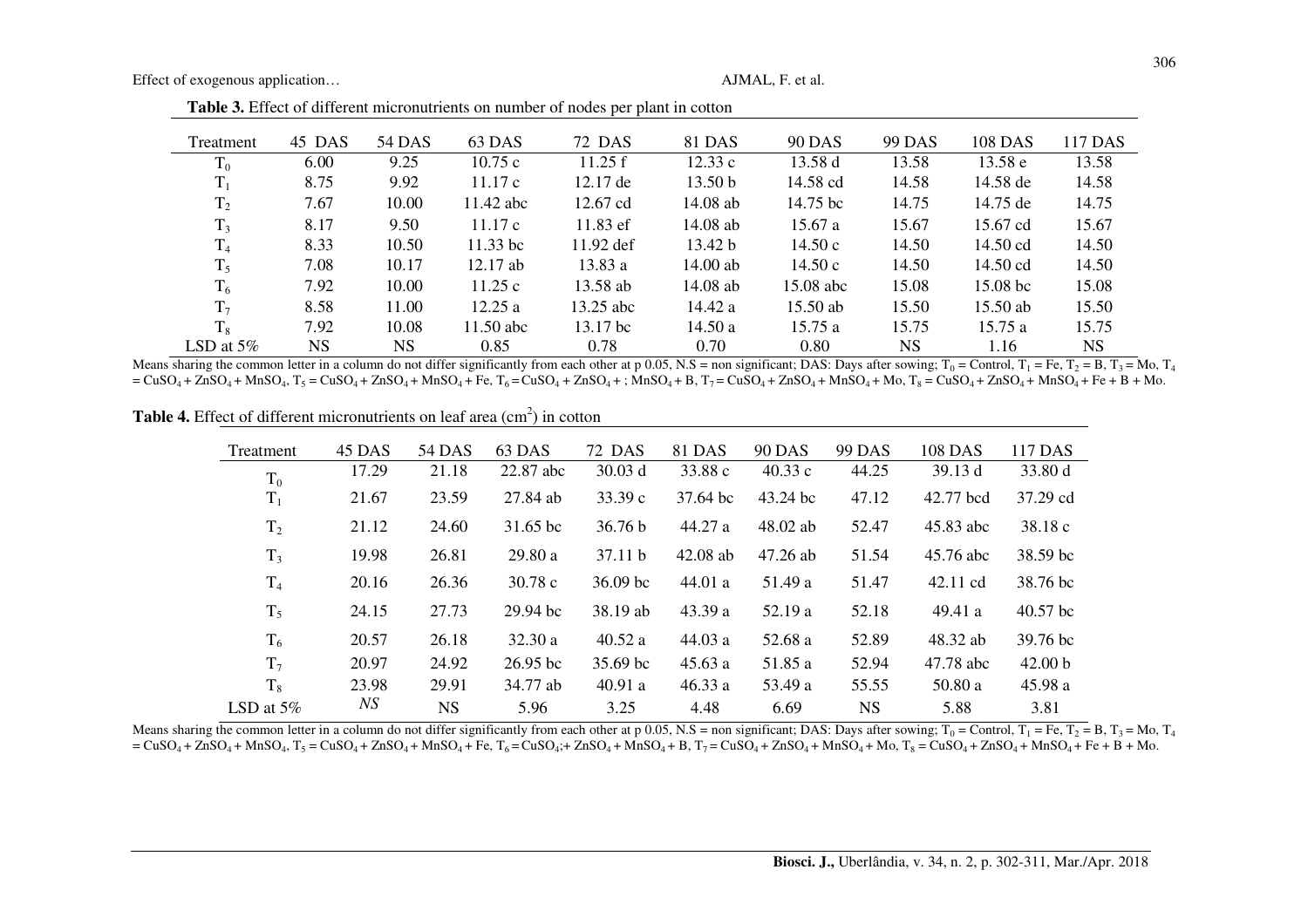Effect of exogenous application...

| Treatment      | 45 DAS    | 54 DAS    | 63 DAS      | 72 DAS              | 81 DAS             | <b>90 DAS</b> | 99 DAS    | 108 DAS             | 117 DAS   |
|----------------|-----------|-----------|-------------|---------------------|--------------------|---------------|-----------|---------------------|-----------|
| $T_0$          | 6.00      | 9.25      | 10.75c      | 11.25 f             | 12.33c             | 13.58 d       | 13.58     | 13.58 e             | 13.58     |
| $T_1$          | 8.75      | 9.92      | 11.17c      | $12.17 \text{ de}$  | 13.50 <sub>b</sub> | 14.58 cd      | 14.58     | 14.58 de            | 14.58     |
| T <sub>2</sub> | 7.67      | 10.00     | $11.42$ abc | 12.67 cd            | $14.08$ ab         | 14.75 bc      | 14.75     | 14.75 de            | 14.75     |
| $T_3$          | 8.17      | 9.50      | 11.17c      | $11.83$ ef          | 14.08 ab           | 15.67a        | 15.67     | 15.67 cd            | 15.67     |
| $T_4$          | 8.33      | 10.50     | $11.33$ bc  | $11.92$ def         | 13.42 b            | 14.50c        | 14.50     | 14.50 cd            | 14.50     |
| $T_5$          | 7.08      | 10.17     | $12.17$ ab  | 13.83a              | $14.00$ ab         | 14.50 c       | 14.50     | 14.50 cd            | 14.50     |
| $T_6$          | 7.92      | 10.00     | 11.25c      | 13.58 ab            | $14.08$ ab         | $15.08$ abc   | 15.08     | 15.08 <sub>bc</sub> | 15.08     |
| T <sub>7</sub> | 8.58      | 11.00     | 12.25a      | 13.25 abc           | 14.42 a            | $15.50$ ab    | 15.50     | 15.50 ab            | 15.50     |
| $T_8$          | 7.92      | 10.08     | $11.50$ abc | 13.17 <sub>bc</sub> | 14.50a             | 15.75a        | 15.75     | 15.75a              | 15.75     |
| LSD at $5\%$   | <b>NS</b> | <b>NS</b> | 0.85        | 0.78                | 0.70               | 0.80          | <b>NS</b> | 1.16                | <b>NS</b> |

Table 3. Effect of different micronutrients on number of nodes per plant in cotton

Means sharing the common letter in a column do not differ significantly from each other at p 0.05, N.S = non significant; DAS: Days after sowing;  $T_0 =$ Control,  $T_1 =$ Fe,  $T_2 =$ B,  $T_3 =$ Mo,  $T_4$  $= CusO_4 + ZnSO_4 + MnSO_4$ ,  $T_5 = CuSO_4 + ZnSO_4 + MnSO_4 + Fe$ ,  $T_6 = CuSO_4 + ZnSO_4 +$ ;  $MnSO_4 + B$ ,  $T_7 = CuSO_4 + ZnSO_4 + MnSO_4 + Mo$ ,  $T_8 = CuSO_4 + ZnSO_4 + MnSO_4 +$ 

**Table 4.** Effect of different micronutrients on leaf area  $(cm<sup>2</sup>)$  in cotton

| Treatment      | 45 DAS | 54 DAS    | 63 DAS             | 72 DAS              | 81 DAS     | <b>90 DAS</b> | 99 DAS    | 108 DAS   | 117 DAS            |
|----------------|--------|-----------|--------------------|---------------------|------------|---------------|-----------|-----------|--------------------|
| $T_0$          | 17.29  | 21.18     | 22.87 abc          | 30.03 d             | 33.88 c    | 40.33c        | 44.25     | 39.13 d   | 33.80 d            |
| $T_1$          | 21.67  | 23.59     | 27.84 ab           | 33.39c              | 37.64 bc   | 43.24 bc      | 47.12     | 42.77 bcd | 37.29 cd           |
| T <sub>2</sub> | 21.12  | 24.60     | 31.65 bc           | 36.76 b             | 44.27 a    | $48.02$ ab    | 52.47     | 45.83 abc | 38.18c             |
| $T_3$          | 19.98  | 26.81     | 29.80a             | 37.11 h             | $42.08$ ab | $47.26$ ab    | 51.54     | 45.76 abc | 38.59 bc           |
| T <sub>4</sub> | 20.16  | 26.36     | 30.78c             | 36.09 <sub>bc</sub> | 44.01 a    | 51.49 a       | 51.47     | 42.11 cd  | 38.76 bc           |
| $T_5$          | 24.15  | 27.73     | $29.94 \text{ bc}$ | 38.19 ab            | 43.39 a    | 52.19 a       | 52.18     | 49.41 a   | $40.57$ bc         |
| $T_6$          | 20.57  | 26.18     | 32.30 a            | 40.52 a             | 44.03a     | 52.68 a       | 52.89     | 48.32 ab  | 39.76 bc           |
| $T_7$          | 20.97  | 24.92     | $26.95$ bc         | 35.69 bc            | 45.63a     | 51.85 a       | 52.94     | 47.78 abc | 42.00 <sub>b</sub> |
| $T_8$          | 23.98  | 29.91     | 34.77 ab           | 40.91 a             | 46.33 a    | 53.49 a       | 55.55     | 50.80 a   | 45.98 a            |
| LSD at $5\%$   | NS     | <b>NS</b> | 5.96               | 3.25                | 4.48       | 6.69          | <b>NS</b> | 5.88      | 3.81               |

Means sharing the common letter in a column do not differ significantly from each other at p 0.05, N.S = non significant; DAS: Days after sowing;  $T_0$  = Control,  $T_1$  = Fe,  $T_2$  = B,  $T_3$  = Mo,  $T_4$  $= CuSO_4 + ZnSO_4 + MnSO_4$ ,  $T_5 = CuSO_4 + ZnSO_4 + MnSO_4 + Fe$ ,  $T_6 = CuSO_4 + ZnSO_4 + MnSO_4 + B$ ,  $T_7 = CuSO_4 + ZnSO_4 + MnSO_4 + Mo$ ,  $T_8 = CuSO_4 + ZnSO_4 + MnSO_4 + Fe$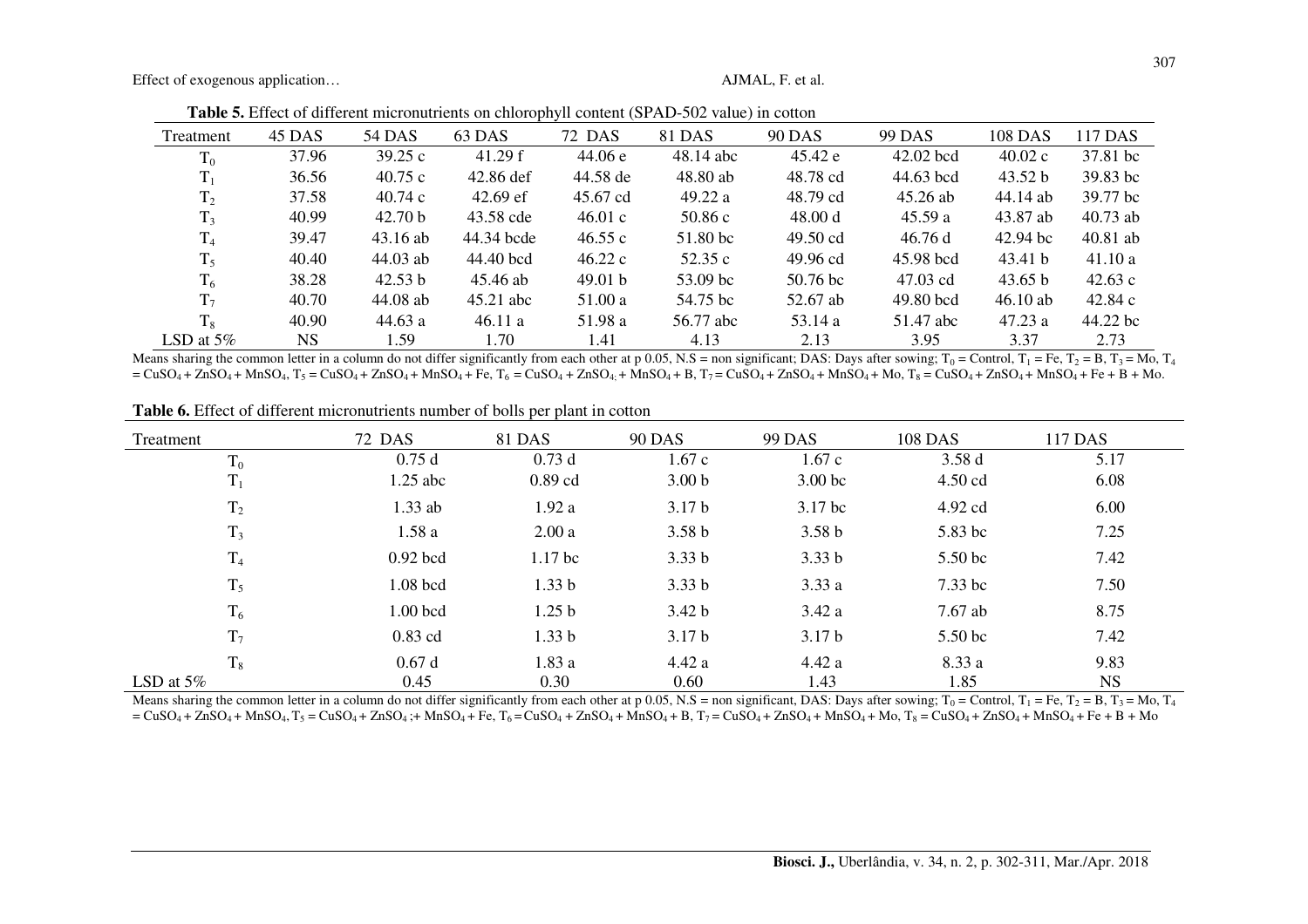Effect of exogenous application...

Table 5. Effect of different micronutrients on chlorophyll content (SPAD-502 value) in cotton

| Treatment      | 45 DAS | 54 DAS             | 63 DAS      | 72 DAS   | 81 DAS    | <b>90 DAS</b>      | 99 DAS    | <b>108 DAS</b> | 117 DAS    |
|----------------|--------|--------------------|-------------|----------|-----------|--------------------|-----------|----------------|------------|
| $T_0$          | 37.96  | 39.25c             | 41.29 f     | 44.06 e  | 48.14 abc | 45.42 e            | 42.02 bcd | 40.02c         | 37.81 bc   |
| $T_1$          | 36.56  | 40.75c             | 42.86 def   | 44.58 de | 48.80 ab  | 48.78 cd           | 44.63 bcd | 43.52 b        | 39.83 bc   |
| T <sub>2</sub> | 37.58  | 40.74c             | $42.69$ ef  | 45.67 cd | 49.22 a   | 48.79 cd           | 45.26 ab  | 44.14 ab       | 39.77 bc   |
| $T_3$          | 40.99  | 42.70 <sub>b</sub> | 43.58 cde   | 46.01 c  | 50.86c    | 48.00 d            | 45.59a    | 43.87 ab       | $40.73$ ab |
| T <sub>4</sub> | 39.47  | 43.16 ab           | 44.34 bcde  | 46.55c   | 51.80 bc  | $49.50 \text{ cd}$ | 46.76 d   | $42.94$ bc     | $40.81$ ab |
| $T_5$          | 40.40  | $44.03$ ab         | 44.40 bcd   | 46.22c   | 52.35 c   | 49.96 cd           | 45.98 bcd | 43.41 b        | 41.10a     |
| $T_6$          | 38.28  | 42.53 b            | 45.46 ab    | 49.01 b  | 53.09 bc  | $50.76$ bc         | 47.03 cd  | 43.65 b        | 42.63c     |
| $T_7$          | 40.70  | 44.08 ab           | $45.21$ abc | 51.00 a  | 54.75 bc  | 52.67 ab           | 49.80 bcd | $46.10$ ab     | 42.84 c    |
| $T_8$          | 40.90  | 44.63a             | 46.11a      | 51.98 a  | 56.77 abc | 53.14 a            | 51.47 abc | 47.23a         | 44.22 bc   |
| LSD at $5\%$   | NS.    | 1.59               | 1.70        | 1.41     | 4.13      | 2.13               | 3.95      | 3.37           | 2.73       |

Means sharing the common letter in a column do not differ significantly from each other at p 0.05, N.S = non significant; DAS: Days after sowing;  $T_0$  = Control,  $T_1$  = Fe,  $T_2$  = B,  $T_3$  = Mo,  $T_4$  $= C<sub>u</sub>SO<sub>4</sub> + Z<sub>n</sub>SO<sub>4</sub> + M<sub>n</sub>SO<sub>4</sub>$ ,  $T<sub>5</sub> = CuSO<sub>4</sub> + Z<sub>n</sub>SO<sub>4</sub> + P<sub>6</sub>$ ,  $T<sub>6</sub> = CuSO<sub>4</sub> + Z<sub>n</sub>SO<sub>4</sub> + M<sub>n</sub>SO<sub>4</sub> + M<sub>n</sub>SO<sub>4</sub> + B$ ,  $T<sub>7</sub> = CuSO<sub>4</sub> + Z<sub>n</sub>SO<sub>4</sub> + M<sub>n</sub>SO<sub>4</sub>$ 

| Treatment      | 72 DAS     | 81 DAS             | <b>90 DAS</b>     | <b>99 DAS</b>      | <b>108 DAS</b> | 117 DAS   |
|----------------|------------|--------------------|-------------------|--------------------|----------------|-----------|
| $T_0$          | 0.75d      | 0.73d              | 1.67c             | 1.67c              | 3.58d          | 5.17      |
| $T_1$          | $1.25$ abc | $0.89$ cd          | 3.00 <sub>b</sub> | 3.00 <sub>bc</sub> | $4.50$ cd      | 6.08      |
| T <sub>2</sub> | $1.33$ ab  | 1.92a              | 3.17 <sub>b</sub> | 3.17 bc            | 4.92 cd        | 6.00      |
| $T_3$          | 1.58a      | 2.00a              | 3.58 <sub>b</sub> | 3.58 <sub>b</sub>  | 5.83 bc        | 7.25      |
| T <sub>4</sub> | $0.92$ bcd | 1.17 <sub>bc</sub> | 3.33 <sub>b</sub> | 3.33 <sub>b</sub>  | 5.50 bc        | 7.42      |
| $T_5$          | 1.08 bcd   | 1.33 <sub>b</sub>  | 3.33 <sub>b</sub> | 3.33a              | $7.33$ bc      | 7.50      |
| $T_6$          | 1.00 bcd   | 1.25 <sub>b</sub>  | 3.42 <sub>b</sub> | 3.42a              | 7.67 ab        | 8.75      |
| $T_7$          | $0.83$ cd  | 1.33 <sub>b</sub>  | 3.17 <sub>b</sub> | 3.17 <sub>b</sub>  | 5.50 bc        | 7.42      |
| $T_8$          | 0.67d      | 1.83a              | 4.42a             | 4.42a              | 8.33 a         | 9.83      |
| LSD at $5\%$   | 0.45       | 0.30               | 0.60              | 1.43               | 1.85           | <b>NS</b> |

Table 6. Effect of different micronutrients number of bolls per plant in cotton

Means sharing the common letter in a column do not differ significantly from each other at p 0.05, N.S = non significant, DAS: Days after sowing;  $T_0$  = Control,  $T_1$  = Fe,  $T_2$  = B,  $T_3$  = Mo,  $T_4$  $= CusO_4 + ZnSO_4 + MnSO_4$ ,  $T_5 = CuSO_4 + ZnSO_4$ ;  $+ MnSO_4 + Fe$ ,  $T_6 = CuSO_4 + ZnSO_4 + MnSO_4 + B$ ,  $T_7 = CuSO_4 + ZnSO_4 + MnSO_4 + MnSO_4 + MnSO_4 + SO$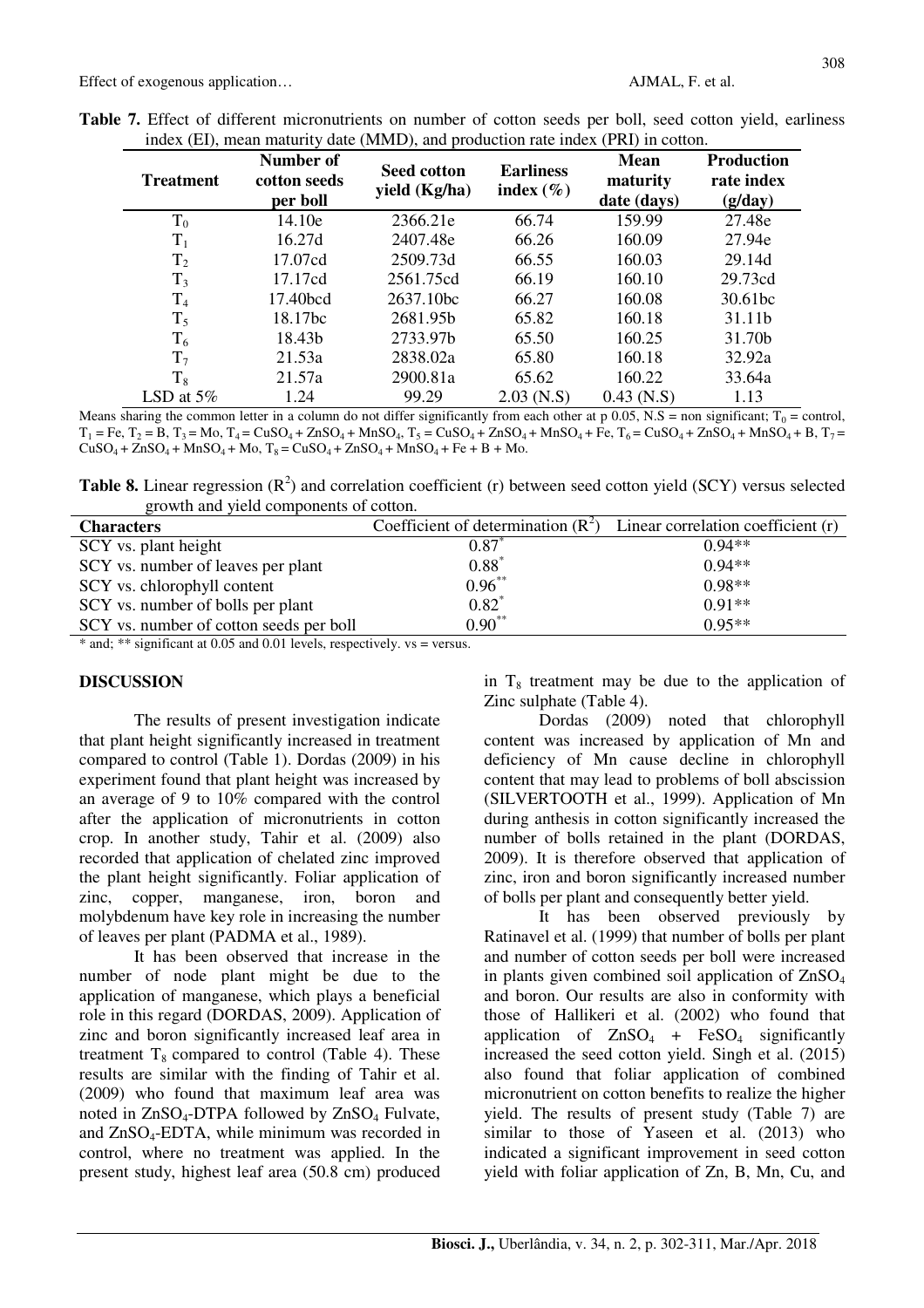| <b>Treatment</b> | Number of<br>cotton seeds<br>per boll | <b>Earliness</b><br><b>Seed cotton</b><br>index $(\% )$<br>yield (Kg/ha) |              | <b>Mean</b><br>maturity<br>date (days) | <b>Production</b><br>rate index<br>(g/day) |
|------------------|---------------------------------------|--------------------------------------------------------------------------|--------------|----------------------------------------|--------------------------------------------|
| $T_0$            | 14.10e                                | 2366.21e                                                                 | 66.74        | 159.99                                 | 27.48e                                     |
| $T_1$            | 16.27d                                | 2407.48e                                                                 | 66.26        | 160.09                                 | 27.94e                                     |
| T <sub>2</sub>   | 17.07cd                               | 2509.73d                                                                 | 66.55        | 160.03                                 | 29.14d                                     |
| $T_3$            | 17.17cd                               | 2561.75cd                                                                | 66.19        | 160.10                                 | 29.73cd                                    |
| T <sub>4</sub>   | 17.40bcd                              | 2637.10bc                                                                | 66.27        | 160.08                                 | 30.61bc                                    |
| $T_5$            | 18.17bc                               | 2681.95b                                                                 | 65.82        | 160.18                                 | 31.11b                                     |
| $T_6$            | 18.43b                                | 2733.97b                                                                 | 65.50        | 160.25                                 | 31.70b                                     |
| $T_7$            | 21.53a                                | 2838.02a                                                                 | 65.80        | 160.18                                 | 32.92a                                     |
| $T_8$            | 21.57a                                | 2900.81a                                                                 | 65.62        | 160.22                                 | 33.64a                                     |
| LSD at $5\%$     | 1.24                                  | 99.29                                                                    | $2.03$ (N.S) | $0.43$ (N.S)                           | 1.13                                       |

**Table 7.** Effect of different micronutrients on number of cotton seeds per boll, seed cotton yield, earliness index (EI), mean maturity date (MMD), and production rate index (PRI) in cotton.

Means sharing the common letter in a column do not differ significantly from each other at  $p \cdot 0.05$ , N.S = non significant; T<sub>0</sub> = control,  $T_1$  = Fe,  $T_2$  = B,  $T_3$  = Mo,  $T_4$  = CuSO<sub>4</sub> + ZnSO<sub>4</sub> + MnSO<sub>4</sub>,  $T_5$  = CuSO<sub>4</sub> + ZnSO<sub>4</sub> + MnSO<sub>4</sub> + Fe,  $T_6$  = CuSO<sub>4</sub> + ZnSO<sub>4</sub> + MnSO<sub>4</sub> + B,  $T_7$  =  $CuSO_4 + ZnSO_4 + MnSO_4 + Mo$ ,  $T_8 = CuSO_4 + ZnSO_4 + MnSO_4 + Fe + B + Mo$ .

**Table 8.** Linear regression  $(R^2)$  and correlation coefficient (r) between seed cotton yield  $(SCY)$  versus selected growth and yield components of cotton.

| <b>Characters</b>                       | Coefficient of determination $(R2)$ | Linear correlation coefficient (r) |
|-----------------------------------------|-------------------------------------|------------------------------------|
| SCY vs. plant height                    | $0.87^{^{\circ}}$                   | $0.94**$                           |
| SCY vs. number of leaves per plant      | $0.88^{*}$                          | $0.94**$                           |
| SCY vs. chlorophyll content             | $0.96***$                           | $0.98**$                           |
| SCY vs. number of bolls per plant       | $0.82*$                             | $0.91**$                           |
| SCY vs. number of cotton seeds per boll | $0.90***$                           | $0.95**$                           |
|                                         |                                     |                                    |

\* and; \*\* significant at 0.05 and 0.01 levels, respectively. vs = versus.

## **DISCUSSION**

The results of present investigation indicate that plant height significantly increased in treatment compared to control (Table 1). Dordas (2009) in his experiment found that plant height was increased by an average of 9 to 10% compared with the control after the application of micronutrients in cotton crop. In another study, Tahir et al. (2009) also recorded that application of chelated zinc improved the plant height significantly. Foliar application of zinc, copper, manganese, iron, boron and molybdenum have key role in increasing the number of leaves per plant (PADMA et al., 1989).

It has been observed that increase in the number of node plant might be due to the application of manganese, which plays a beneficial role in this regard (DORDAS, 2009). Application of zinc and boron significantly increased leaf area in treatment  $T_8$  compared to control (Table 4). These results are similar with the finding of Tahir et al. (2009) who found that maximum leaf area was noted in  $ZnSO_4$ -DTPA followed by  $ZnSO_4$  Fulvate, and  $ZnSO<sub>4</sub>-EDTA$ , while minimum was recorded in control, where no treatment was applied. In the present study, highest leaf area (50.8 cm) produced in  $T_8$  treatment may be due to the application of Zinc sulphate (Table 4).

Dordas (2009) noted that chlorophyll content was increased by application of Mn and deficiency of Mn cause decline in chlorophyll content that may lead to problems of boll abscission (SILVERTOOTH et al., 1999). Application of Mn during anthesis in cotton significantly increased the number of bolls retained in the plant (DORDAS, 2009). It is therefore observed that application of zinc, iron and boron significantly increased number of bolls per plant and consequently better yield.

It has been observed previously by Ratinavel et al. (1999) that number of bolls per plant and number of cotton seeds per boll were increased in plants given combined soil application of  $ZnSO<sub>4</sub>$ and boron. Our results are also in conformity with those of Hallikeri et al. (2002) who found that application of  $ZnSO_4$  +  $FeSO_4$  significantly increased the seed cotton yield. Singh et al. (2015) also found that foliar application of combined micronutrient on cotton benefits to realize the higher yield. The results of present study (Table 7) are similar to those of Yaseen et al. (2013) who indicated a significant improvement in seed cotton yield with foliar application of Zn, B, Mn, Cu, and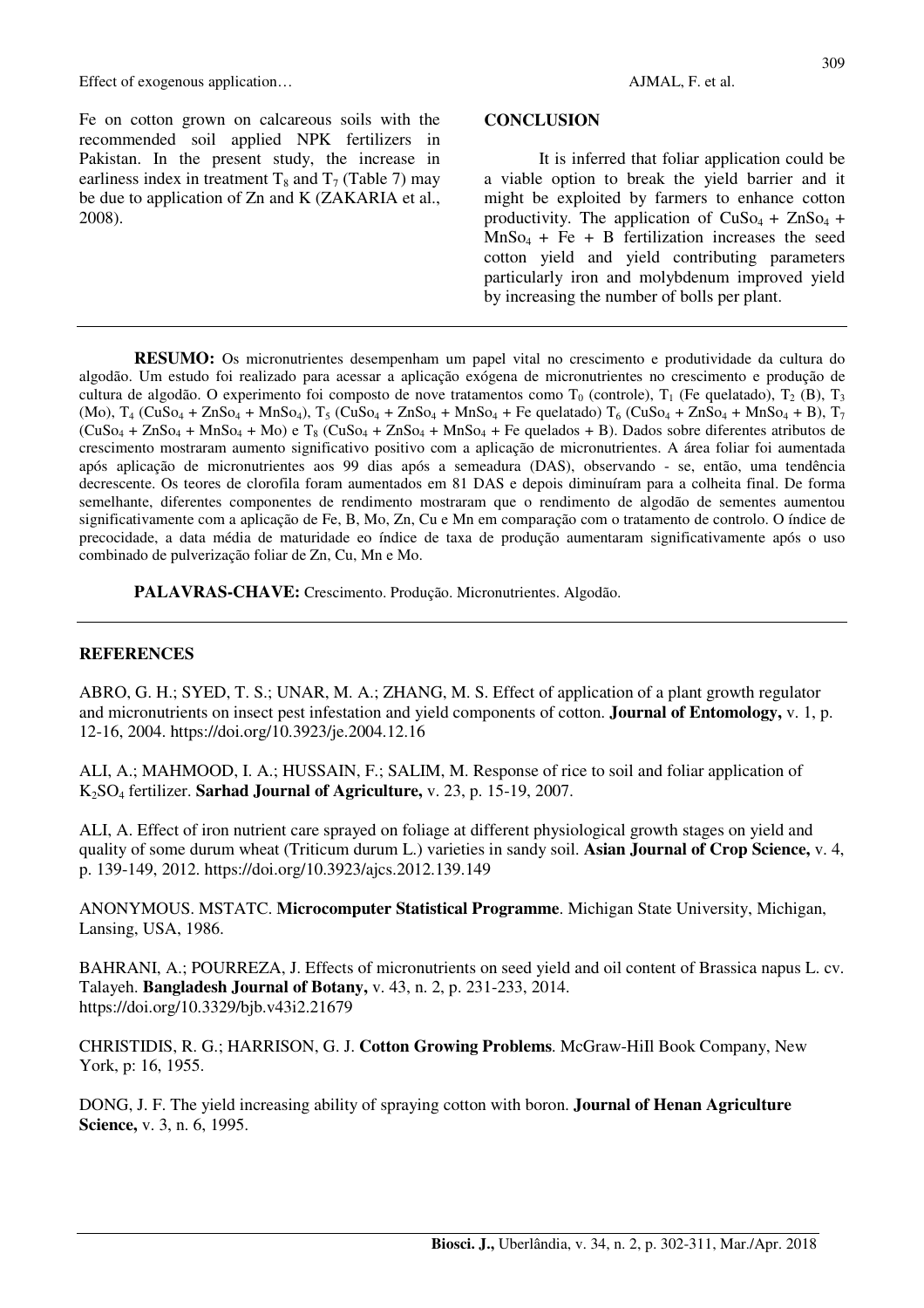Fe on cotton grown on calcareous soils with the recommended soil applied NPK fertilizers in Pakistan. In the present study, the increase in earliness index in treatment  $T_8$  and  $T_7$  (Table 7) may be due to application of Zn and K (ZAKARIA et al., 2008).

#### **CONCLUSION**

It is inferred that foliar application could be a viable option to break the yield barrier and it might be exploited by farmers to enhance cotton productivity. The application of  $CuSo<sub>4</sub> + ZnSo<sub>4</sub> +$  $MnSo<sub>4</sub> + Fe + B$  fertilization increases the seed cotton yield and yield contributing parameters particularly iron and molybdenum improved yield by increasing the number of bolls per plant.

**RESUMO:** Os micronutrientes desempenham um papel vital no crescimento e produtividade da cultura do algodão. Um estudo foi realizado para acessar a aplicação exógena de micronutrientes no crescimento e produção de cultura de algodão. O experimento foi composto de nove tratamentos como T<sub>0</sub> (controle), T<sub>1</sub> (Fe quelatado), T<sub>2</sub> (B), T<sub>3</sub>  $(Mo)$ ,  $T_4$  (CuSo<sub>4</sub> + ZnSo<sub>4</sub> + MnSo<sub>4</sub>),  $T_5$  (CuSo<sub>4</sub> + ZnSo<sub>4</sub> + MnSo<sub>4</sub> + Fe quelatado)  $T_6$  (CuSo<sub>4</sub> + ZnSo<sub>4</sub> + MnSo<sub>4</sub> + B),  $T_7$  $(CuSo_4 + ZnSo_4 + MnSo_4 + Mo)$  e T<sub>8</sub>  $(CuSo_4 + ZnSo_4 + MnSo_4 + Fe$  quelados + B). Dados sobre diferentes atributos de crescimento mostraram aumento significativo positivo com a aplicação de micronutrientes. A área foliar foi aumentada após aplicação de micronutrientes aos 99 dias após a semeadura (DAS), observando - se, então, uma tendência decrescente. Os teores de clorofila foram aumentados em 81 DAS e depois diminuíram para a colheita final. De forma semelhante, diferentes componentes de rendimento mostraram que o rendimento de algodão de sementes aumentou significativamente com a aplicação de Fe, B, Mo, Zn, Cu e Mn em comparação com o tratamento de controlo. O índice de precocidade, a data média de maturidade eo índice de taxa de produção aumentaram significativamente após o uso combinado de pulverização foliar de Zn, Cu, Mn e Mo.

**PALAVRAS-CHAVE:** Crescimento. Produção. Micronutrientes. Algodão.

### **REFERENCES**

ABRO, G. H.; SYED, T. S.; UNAR, M. A.; ZHANG, M. S. Effect of application of a plant growth regulator and micronutrients on insect pest infestation and yield components of cotton. **Journal of Entomology,** v. 1, p. 12-16, 2004. https://doi.org/10.3923/je.2004.12.16

ALI, A.; MAHMOOD, I. A.; HUSSAIN, F.; SALIM, M. Response of rice to soil and foliar application of K2SO4 fertilizer. **Sarhad Journal of Agriculture,** v. 23, p. 15-19, 2007.

ALI, A. Effect of iron nutrient care sprayed on foliage at different physiological growth stages on yield and quality of some durum wheat (Triticum durum L.) varieties in sandy soil. **Asian Journal of Crop Science,** v. 4, p. 139-149, 2012. https://doi.org/10.3923/ajcs.2012.139.149

ANONYMOUS. MSTATC. **Microcomputer Statistical Programme**. Michigan State University, Michigan, Lansing, USA, 1986.

BAHRANI, A.; POURREZA, J. Effects of micronutrients on seed yield and oil content of Brassica napus L. cv. Talayeh. **Bangladesh Journal of Botany,** v. 43, n. 2, p. 231-233, 2014. https://doi.org/10.3329/bjb.v43i2.21679

CHRISTIDIS, R. G.; HARRISON, G. J. **Cotton Growing Problems**. McGraw-HiIl Book Company, New York, p: 16, 1955.

DONG, J. F. The yield increasing ability of spraying cotton with boron. **Journal of Henan Agriculture Science,** v. 3, n. 6, 1995.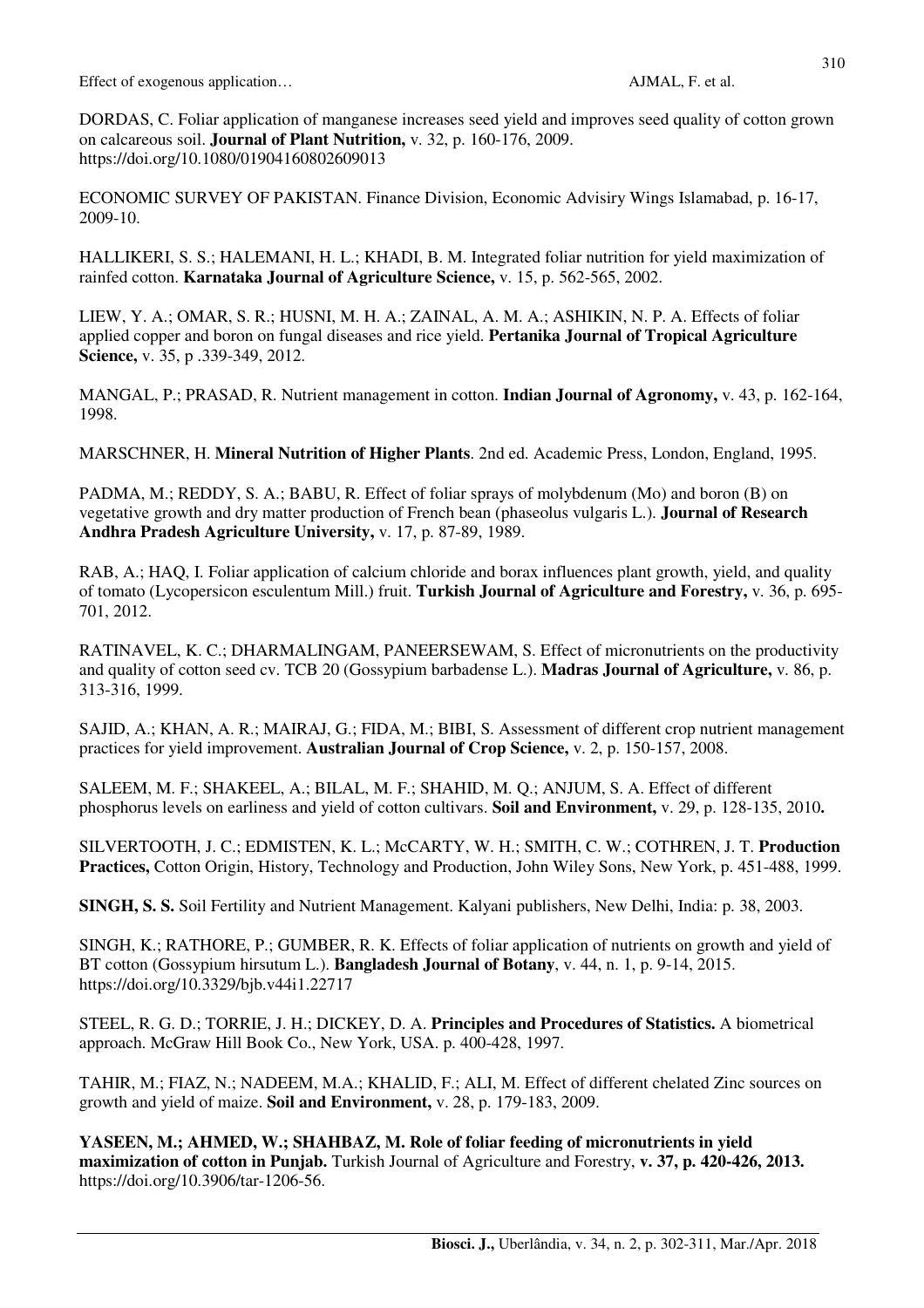DORDAS, C. Foliar application of manganese increases seed yield and improves seed quality of cotton grown on calcareous soil. **Journal of Plant Nutrition,** v. 32, p. 160-176, 2009. https://doi.org/10.1080/01904160802609013

ECONOMIC SURVEY OF PAKISTAN. Finance Division, Economic Advisiry Wings Islamabad, p. 16-17, 2009-10.

HALLIKERI, S. S.; HALEMANI, H. L.; KHADI, B. M. Integrated foliar nutrition for yield maximization of rainfed cotton. **Karnataka Journal of Agriculture Science,** v. 15, p. 562-565, 2002.

LIEW, Y. A.; OMAR, S. R.; HUSNI, M. H. A.; ZAINAL, A. M. A.; ASHIKIN, N. P. A. Effects of foliar applied copper and boron on fungal diseases and rice yield. **Pertanika Journal of Tropical Agriculture Science,** v. 35, p .339-349, 2012.

MANGAL, P.; PRASAD, R. Nutrient management in cotton. **Indian Journal of Agronomy,** v. 43, p. 162-164, 1998.

MARSCHNER, H. **Mineral Nutrition of Higher Plants**. 2nd ed. Academic Press, London, England, 1995.

PADMA, M.; REDDY, S. A.; BABU, R. Effect of foliar sprays of molybdenum (Mo) and boron (B) on vegetative growth and dry matter production of French bean (phaseolus vulgaris L.). **Journal of Research Andhra Pradesh Agriculture University,** v. 17, p. 87-89, 1989.

RAB, A.; HAQ, I. Foliar application of calcium chloride and borax influences plant growth, yield, and quality of tomato (Lycopersicon esculentum Mill.) fruit. **Turkish Journal of Agriculture and Forestry,** v. 36, p. 695- 701, 2012.

RATINAVEL, K. C.; DHARMALINGAM, PANEERSEWAM, S. Effect of micronutrients on the productivity and quality of cotton seed cv. TCB 20 (Gossypium barbadense L.). **Madras Journal of Agriculture,** v. 86, p. 313-316, 1999.

SAJID, A.; KHAN, A. R.; MAIRAJ, G.; FIDA, M.; BIBI, S. Assessment of different crop nutrient management practices for yield improvement. **Australian Journal of Crop Science,** v. 2, p. 150-157, 2008.

SALEEM, M. F.; SHAKEEL, A.; BILAL, M. F.; SHAHID, M. Q.; ANJUM, S. A. Effect of different phosphorus levels on earliness and yield of cotton cultivars. **Soil and Environment,** v. 29, p. 128-135, 2010**.** 

SILVERTOOTH, J. C.; EDMISTEN, K. L.; McCARTY, W. H.; SMITH, C. W.; COTHREN, J. T. **Production Practices,** Cotton Origin, History, Technology and Production, John Wiley Sons, New York, p. 451-488, 1999.

**SINGH, S. S.** Soil Fertility and Nutrient Management. Kalyani publishers, New Delhi, India: p. 38, 2003.

SINGH, K.; RATHORE, P.; GUMBER, R. K. Effects of foliar application of nutrients on growth and yield of BT cotton (Gossypium hirsutum L.). **Bangladesh Journal of Botany**, v. 44, n. 1, p. 9-14, 2015. https://doi.org/10.3329/bjb.v44i1.22717

STEEL, R. G. D.; TORRIE, J. H.; DICKEY, D. A. **Principles and Procedures of Statistics.** A biometrical approach. McGraw Hill Book Co., New York, USA. p. 400-428, 1997.

TAHIR, M.; FIAZ, N.; NADEEM, M.A.; KHALID, F.; ALI, M. Effect of different chelated Zinc sources on growth and yield of maize. **Soil and Environment,** v. 28, p. 179-183, 2009.

**YASEEN, M.; AHMED, W.; SHAHBAZ, M. Role of foliar feeding of micronutrients in yield maximization of cotton in Punjab.** Turkish Journal of Agriculture and Forestry, **v. 37, p. 420-426, 2013.**  https://doi.org/10.3906/tar-1206-56.